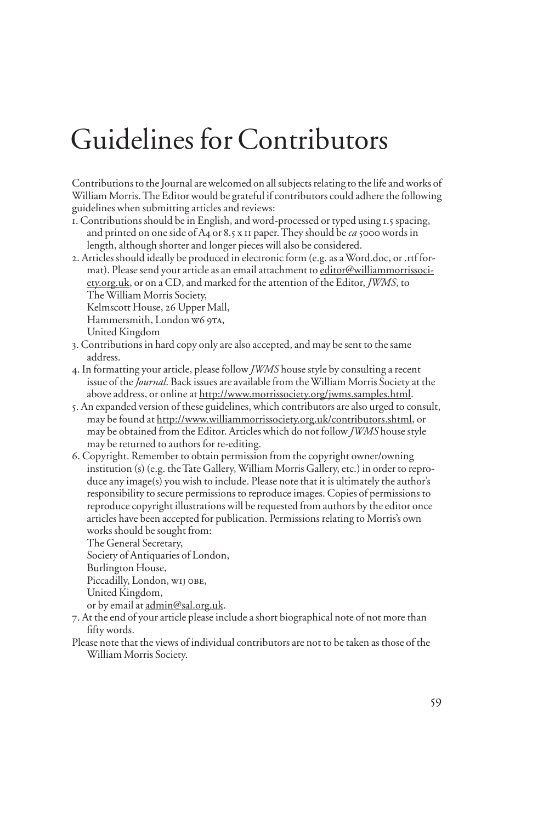## Guidelines for Contributors

Contributions to the Journal are welcomed on all subjects relating to the life and works of William Morris. The Editor would be grateful if contributors could adhere the following guidelines when submitting articles and reviews:

- 1. Contributions should be in English, and word-processed or typed using 1.5 spacing, and printed on one side of A4 or 8.5 x 11 paper. They should be *ca* 5000 words in length, although shorter and longer pieces will also be considered.
- 2. Articles should ideally be produced in electronic form (e.g. as a Word.doc, or .rtf format). Please send your article as an email attachment to editor@williammorrissociety.org.uk, or on a CD, and marked for the attention of the Editor, *JWMS*, to The William Morris Society,

Kelmscott House, 26 Upper Mall,

Hammersmith, London w6 9TA,

United Kingdom

- 3. Contributions in hard copy only are also accepted, and may be sent to the same address.
- 4. In formatting your article, please follow *JWMS* house style by consulting a recent issue of the *Journal*. Back issues are available from the William Morris Society at the above address, or online at http://www.morrissociety.org/jwms.samples.html.
- 5. An expanded version of these guidelines, which contributors are also urged to consult, may be found at http://www.williammorrissociety.org.uk/contributors.shtml, or may be obtained from the Editor. Articles which do not follow *JWMS* house style may be returned to authors for re-editing.
- 6. Copyright. Remember to obtain permission from the copyright owner/owning institution (s) (e.g. the Tate Gallery, William Morris Gallery, etc.) in order to reproduce any image(s) you wish to include. Please note that it is ultimately the author's responsibility to secure permissions to reproduce images. Copies of permissions to reproduce copyright illustrations will be requested from authors by the editor once articles have been accepted for publication. Permissions relating to Morris's own works should be sought from:

The General Secretary,

Society of Antiquaries of London,

Burlington House,

Piccadilly, London, WIJ OBE,

United Kingdom,

or by email at admin@sal.org.uk.

- 7. At the end of your article please include a short biographical note of not more than fifty words.
- Please note that the views of individual contributors are not to be taken as those of the William Morris Society.